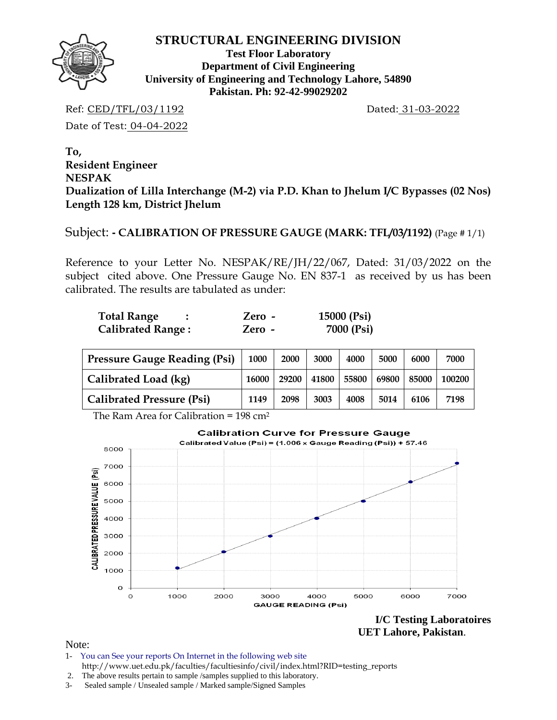

**Test Floor Laboratory Department of Civil Engineering University of Engineering and Technology Lahore, 54890 Pakistan. Ph: 92-42-99029202** 

Ref: CED/TFL/03/1192 Dated: 31-03-2022

Date of Test: 04-04-2022

**To, Resident Engineer NESPAK Dualization of Lilla Interchange (M-2) via P.D. Khan to Jhelum I/C Bypasses (02 Nos) Length 128 km, District Jhelum** 

Subject: **- CALIBRATION OF PRESSURE GAUGE (MARK: TFL/03/1192)** (Page # 1/1)

Reference to your Letter No. NESPAK/RE/JH/22/067, Dated: 31/03/2022 on the subject cited above. One Pressure Gauge No. EN 837-1 as received by us has been calibrated. The results are tabulated as under:

| <b>Total Range</b>       | Zero - | 15000 (Psi) |
|--------------------------|--------|-------------|
| <b>Calibrated Range:</b> | Zero - | 7000 (Psi)  |

| <b>Pressure Gauge Reading (Psi)</b> |       | 2000  | 3000  | 4000  | 5000  | 6000  | 7000   |
|-------------------------------------|-------|-------|-------|-------|-------|-------|--------|
| Calibrated Load (kg)                | 16000 | 29200 | 41800 | 55800 | 69800 | 85000 | 100200 |
| <b>Calibrated Pressure (Psi)</b>    | 1149  | 2098  | 3003  | 4008  | 5014  | 6106  | 7198   |

The Ram Area for Calibration =  $198 \text{ cm}^2$ 



**I/C Testing Laboratoires UET Lahore, Pakistan**.

Note:

- 1- You can See your reports On Internet in the following web site http://www.uet.edu.pk/faculties/facultiesinfo/civil/index.html?RID=testing\_reports
- 2. The above results pertain to sample /samples supplied to this laboratory.
- 3- Sealed sample / Unsealed sample / Marked sample/Signed Samples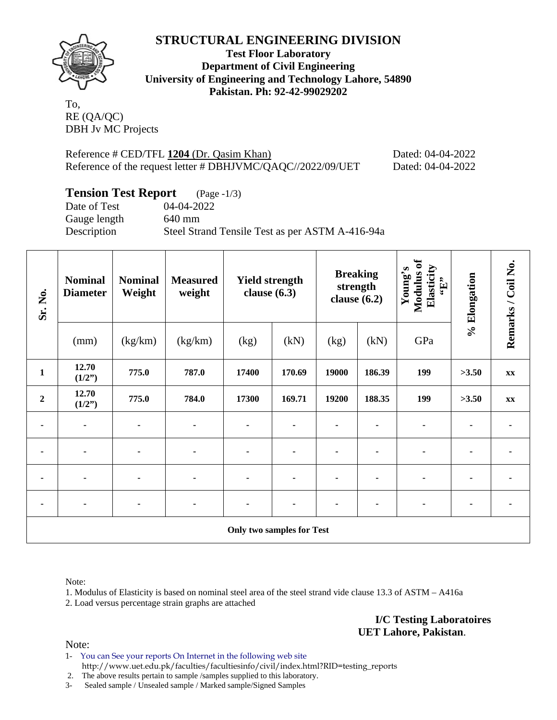

**Test Floor Laboratory Department of Civil Engineering University of Engineering and Technology Lahore, 54890 Pakistan. Ph: 92-42-99029202** 

To, RE (QA/QC) DBH Jv MC Projects

Reference # CED/TFL 1204 (Dr. Qasim Khan) Dated: 04-04-2022 Reference of the request letter # DBHJVMC/QAQC//2022/09/UET Dated: 04-04-2022

| <b>Tension Test Report</b> | $(Page - 1/3)$                                  |
|----------------------------|-------------------------------------------------|
| Date of Test               | 04-04-2022                                      |
| Gauge length               | 640 mm                                          |
| Description                | Steel Strand Tensile Test as per ASTM A-416-94a |

| Sr. No.                          | <b>Nominal</b><br><b>Diameter</b> | <b>Nominal</b><br>Weight | <b>Measured</b><br>weight | <b>Yield strength</b><br>clause $(6.3)$ |        | <b>Breaking</b><br>strength<br>clause $(6.2)$ |        | <b>Modulus</b> of<br>Elasticity<br>Young's<br>$\mathbf{F}$ | % Elongation | Remarks / Coil No. |
|----------------------------------|-----------------------------------|--------------------------|---------------------------|-----------------------------------------|--------|-----------------------------------------------|--------|------------------------------------------------------------|--------------|--------------------|
|                                  | (mm)                              | (kg/km)                  | (kg/km)                   | (kg)                                    | (kN)   | (kg)                                          | (kN)   | GPa                                                        |              |                    |
| $\mathbf{1}$                     | 12.70<br>(1/2")                   | 775.0                    | 787.0                     | 17400                                   | 170.69 | 19000                                         | 186.39 | 199                                                        | >3.50        | XX                 |
| $\overline{2}$                   | 12.70<br>(1/2")                   | 775.0                    | 784.0                     | 17300                                   | 169.71 | 19200                                         | 188.35 | 199                                                        | >3.50        | XX                 |
|                                  |                                   |                          |                           |                                         |        |                                               |        |                                                            |              |                    |
| ٠                                |                                   |                          |                           | ۰                                       |        | ۰                                             |        | ٠                                                          |              |                    |
|                                  |                                   |                          |                           |                                         |        |                                               |        |                                                            |              |                    |
|                                  |                                   |                          |                           |                                         |        |                                               |        |                                                            |              |                    |
| <b>Only two samples for Test</b> |                                   |                          |                           |                                         |        |                                               |        |                                                            |              |                    |

Note:

1. Modulus of Elasticity is based on nominal steel area of the steel strand vide clause 13.3 of ASTM – A416a 2. Load versus percentage strain graphs are attached

> **I/C Testing Laboratoires UET Lahore, Pakistan**.

Note:

1- You can See your reports On Internet in the following web site http://www.uet.edu.pk/faculties/facultiesinfo/civil/index.html?RID=testing\_reports

2. The above results pertain to sample /samples supplied to this laboratory.

3- Sealed sample / Unsealed sample / Marked sample/Signed Samples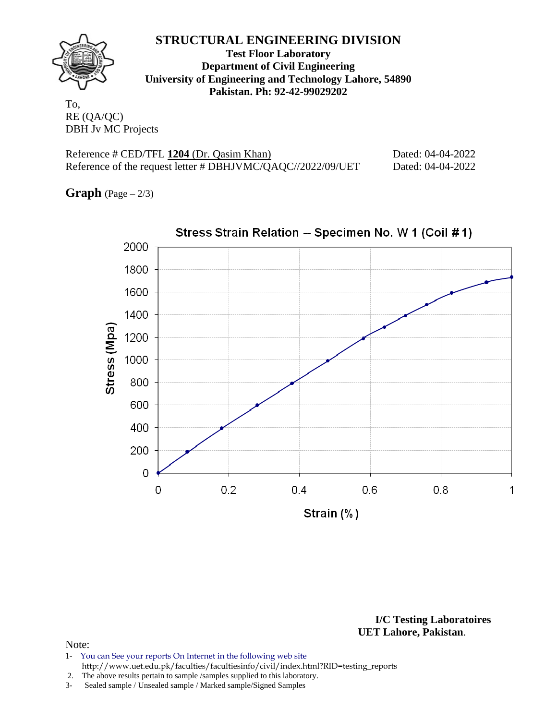

**Test Floor Laboratory Department of Civil Engineering University of Engineering and Technology Lahore, 54890 Pakistan. Ph: 92-42-99029202** 

To, RE (QA/QC) DBH Jv MC Projects

Reference # CED/TFL 1204 (Dr. Qasim Khan) Dated: 04-04-2022 Reference of the request letter # DBHJVMC/QAQC//2022/09/UET Dated: 04-04-2022

**Graph**  $(Page - 2/3)$ 



**I/C Testing Laboratoires UET Lahore, Pakistan**.

### Note:

1- You can See your reports On Internet in the following web site http://www.uet.edu.pk/faculties/facultiesinfo/civil/index.html?RID=testing\_reports

2. The above results pertain to sample /samples supplied to this laboratory.

3- Sealed sample / Unsealed sample / Marked sample/Signed Samples